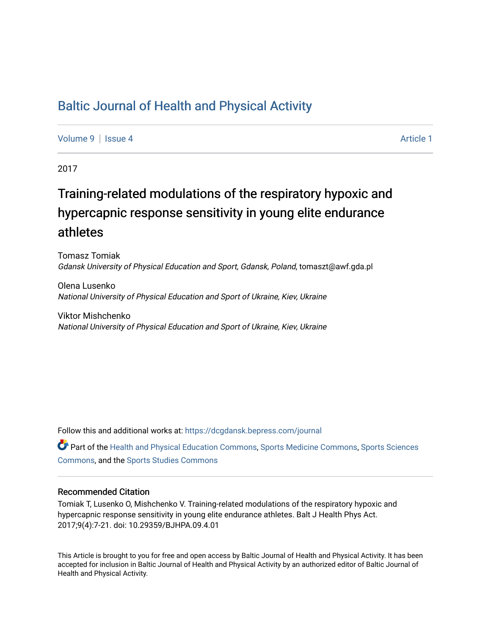## [Baltic Journal of Health and Physical Activity](https://dcgdansk.bepress.com/journal)

[Volume 9](https://dcgdansk.bepress.com/journal/vol9) | [Issue 4](https://dcgdansk.bepress.com/journal/vol9/iss4) Article 1

2017

# Training-related modulations of the respiratory hypoxic and hypercapnic response sensitivity in young elite endurance athletes

Tomasz Tomiak Gdansk University of Physical Education and Sport, Gdansk, Poland, tomaszt@awf.gda.pl

Olena Lusenko National University of Physical Education and Sport of Ukraine, Kiev, Ukraine

Viktor Mishchenko National University of Physical Education and Sport of Ukraine, Kiev, Ukraine

Follow this and additional works at: [https://dcgdansk.bepress.com/journal](https://dcgdansk.bepress.com/journal?utm_source=dcgdansk.bepress.com%2Fjournal%2Fvol9%2Fiss4%2F1&utm_medium=PDF&utm_campaign=PDFCoverPages)

Part of the [Health and Physical Education Commons](http://network.bepress.com/hgg/discipline/1327?utm_source=dcgdansk.bepress.com%2Fjournal%2Fvol9%2Fiss4%2F1&utm_medium=PDF&utm_campaign=PDFCoverPages), [Sports Medicine Commons,](http://network.bepress.com/hgg/discipline/1331?utm_source=dcgdansk.bepress.com%2Fjournal%2Fvol9%2Fiss4%2F1&utm_medium=PDF&utm_campaign=PDFCoverPages) [Sports Sciences](http://network.bepress.com/hgg/discipline/759?utm_source=dcgdansk.bepress.com%2Fjournal%2Fvol9%2Fiss4%2F1&utm_medium=PDF&utm_campaign=PDFCoverPages) [Commons](http://network.bepress.com/hgg/discipline/759?utm_source=dcgdansk.bepress.com%2Fjournal%2Fvol9%2Fiss4%2F1&utm_medium=PDF&utm_campaign=PDFCoverPages), and the [Sports Studies Commons](http://network.bepress.com/hgg/discipline/1198?utm_source=dcgdansk.bepress.com%2Fjournal%2Fvol9%2Fiss4%2F1&utm_medium=PDF&utm_campaign=PDFCoverPages) 

### Recommended Citation

Tomiak T, Lusenko O, Mishchenko V. Training-related modulations of the respiratory hypoxic and hypercapnic response sensitivity in young elite endurance athletes. Balt J Health Phys Act. 2017;9(4):7-21. doi: 10.29359/BJHPA.09.4.01

This Article is brought to you for free and open access by Baltic Journal of Health and Physical Activity. It has been accepted for inclusion in Baltic Journal of Health and Physical Activity by an authorized editor of Baltic Journal of Health and Physical Activity.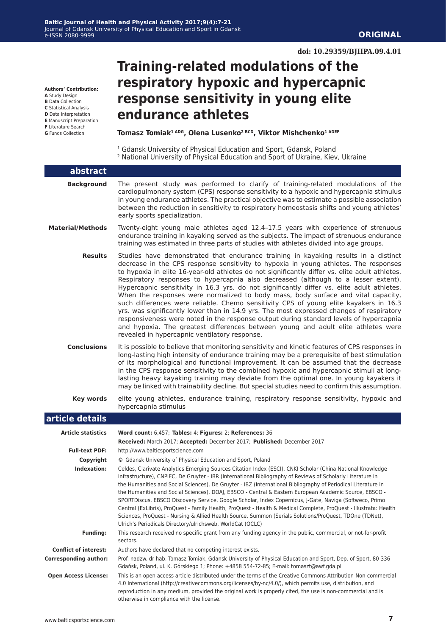#### **doi: 10.29359/BJHPA.09.4.01**

**Authors' Contribution:**

- **A** Study Design
- **B** Data Collection
- **C** Statistical Analysis **D** Data Interpretation
- **E** Manuscript Preparation
- **F** Literature Search
- **G** Funds Collection

## **Training-related modulations of the respiratory hypoxic and hypercapnic response sensitivity in young elite endurance athletes**

Tomasz Tomiak<sup>1 ADG</sup>, Olena Lusenko<sup>2 BCD</sup>, Viktor Mishchenko<sup>1 ADEF</sup>

<sup>1</sup> Gdansk University of Physical Education and Sport, Gdansk, Poland 2 National University of Physical Education and Sport of Ukraine, Kiev, Ukraine

| abstract                     |                                                                                                                                                                                                                                                                                                                                                                                                                                                                                                                                                                                                                                                                                                                                                                                                                                                                                                                                                                             |
|------------------------------|-----------------------------------------------------------------------------------------------------------------------------------------------------------------------------------------------------------------------------------------------------------------------------------------------------------------------------------------------------------------------------------------------------------------------------------------------------------------------------------------------------------------------------------------------------------------------------------------------------------------------------------------------------------------------------------------------------------------------------------------------------------------------------------------------------------------------------------------------------------------------------------------------------------------------------------------------------------------------------|
| <b>Background</b>            | The present study was performed to clarify of training-related modulations of the<br>cardiopulmonary system (CPS) response sensitivity to a hypoxic and hypercapnia stimulus<br>in young endurance athletes. The practical objective was to estimate a possible association<br>between the reduction in sensitivity to respiratory homeostasis shifts and young athletes'<br>early sports specialization.                                                                                                                                                                                                                                                                                                                                                                                                                                                                                                                                                                   |
| <b>Material/Methods</b>      | Twenty-eight young male athletes aged 12.4-17.5 years with experience of strenuous<br>endurance training in kayaking served as the subjects. The impact of strenuous endurance<br>training was estimated in three parts of studies with athletes divided into age groups.                                                                                                                                                                                                                                                                                                                                                                                                                                                                                                                                                                                                                                                                                                   |
| <b>Results</b>               | Studies have demonstrated that endurance training in kayaking results in a distinct<br>decrease in the CPS response sensitivity to hypoxia in young athletes. The responses<br>to hypoxia in elite 16-year-old athletes do not significantly differ vs. elite adult athletes.<br>Respiratory responses to hypercapnia also decreased (although to a lesser extent).<br>Hypercapnic sensitivity in 16.3 yrs. do not significantly differ vs. elite adult athletes.<br>When the responses were normalized to body mass, body surface and vital capacity,<br>such differences were reliable. Chemo sensitivity CPS of young elite kayakers in 16.3<br>yrs. was significantly lower than in 14.9 yrs. The most expressed changes of respiratory<br>responsiveness were noted in the response output during standard levels of hypercapnia<br>and hypoxia. The greatest differences between young and adult elite athletes were<br>revealed in hypercapnic ventilatory response. |
| <b>Conclusions</b>           | It is possible to believe that monitoring sensitivity and kinetic features of CPS responses in<br>long-lasting high intensity of endurance training may be a prerequisite of best stimulation<br>of its morphological and functional improvement. It can be assumed that the decrease<br>in the CPS response sensitivity to the combined hypoxic and hypercapnic stimuli at long-<br>lasting heavy kayaking training may deviate from the optimal one. In young kayakers it<br>may be linked with trainability decline. But special studies need to confirm this assumption.                                                                                                                                                                                                                                                                                                                                                                                                |
| <b>Key words</b>             | elite young athletes, endurance training, respiratory response sensitivity, hypoxic and<br>hypercapnia stimulus                                                                                                                                                                                                                                                                                                                                                                                                                                                                                                                                                                                                                                                                                                                                                                                                                                                             |
| article details              |                                                                                                                                                                                                                                                                                                                                                                                                                                                                                                                                                                                                                                                                                                                                                                                                                                                                                                                                                                             |
| <b>Article statistics</b>    | Word count: 6,457; Tables: 4; Figures: 2; References: 36                                                                                                                                                                                                                                                                                                                                                                                                                                                                                                                                                                                                                                                                                                                                                                                                                                                                                                                    |
|                              | Received: March 2017; Accepted: December 2017; Published: December 2017                                                                                                                                                                                                                                                                                                                                                                                                                                                                                                                                                                                                                                                                                                                                                                                                                                                                                                     |
| <b>Full-text PDF:</b>        | http://www.balticsportscience.com                                                                                                                                                                                                                                                                                                                                                                                                                                                                                                                                                                                                                                                                                                                                                                                                                                                                                                                                           |
| Copyright                    | © Gdansk University of Physical Education and Sport, Poland                                                                                                                                                                                                                                                                                                                                                                                                                                                                                                                                                                                                                                                                                                                                                                                                                                                                                                                 |
| Indexation:                  | Celdes, Clarivate Analytics Emerging Sources Citation Index (ESCI), CNKI Scholar (China National Knowledge<br>Infrastructure), CNPIEC, De Gruyter - IBR (International Bibliography of Reviews of Scholarly Literature in<br>the Humanities and Social Sciences), De Gruyter - IBZ (International Bibliography of Periodical Literature in<br>the Humanities and Social Sciences), DOAJ, EBSCO - Central & Eastern European Academic Source, EBSCO -<br>SPORTDiscus, EBSCO Discovery Service, Google Scholar, Index Copernicus, J-Gate, Naviga (Softweco, Primo<br>Central (ExLibris), ProQuest - Family Health, ProQuest - Health & Medical Complete, ProQuest - Illustrata: Health<br>Sciences, ProQuest - Nursing & Allied Health Source, Summon (Serials Solutions/ProQuest, TDOne (TDNet),<br>Ulrich's Periodicals Directory/ulrichsweb, WorldCat (OCLC)                                                                                                               |
| <b>Funding:</b>              | This research received no specific grant from any funding agency in the public, commercial, or not-for-profit<br>sectors.                                                                                                                                                                                                                                                                                                                                                                                                                                                                                                                                                                                                                                                                                                                                                                                                                                                   |
| <b>Conflict of interest:</b> | Authors have declared that no competing interest exists.                                                                                                                                                                                                                                                                                                                                                                                                                                                                                                                                                                                                                                                                                                                                                                                                                                                                                                                    |
| <b>Corresponding author:</b> | Prof. nadzw. dr hab. Tomasz Tomiak, Gdansk University of Physical Education and Sport, Dep. of Sport, 80-336<br>Gdańsk, Poland, ul. K. Górskiego 1; Phone: +4858 554-72-85; E-mail: tomaszt@awf.gda.pl                                                                                                                                                                                                                                                                                                                                                                                                                                                                                                                                                                                                                                                                                                                                                                      |
| <b>Open Access License:</b>  | This is an open access article distributed under the terms of the Creative Commons Attribution-Non-commercial<br>4.0 International (http://creativecommons.org/licenses/by-nc/4.0/), which permits use, distribution, and<br>reproduction in any medium, provided the original work is properly cited, the use is non-commercial and is<br>otherwise in compliance with the license.                                                                                                                                                                                                                                                                                                                                                                                                                                                                                                                                                                                        |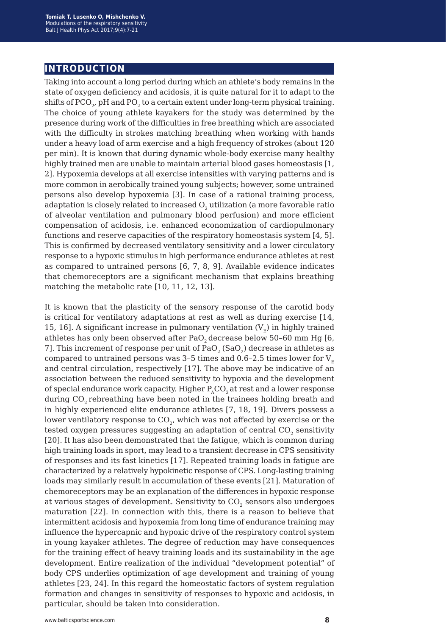## **introduction**

Taking into account a long period during which an athlete's body remains in the state of oxygen deficiency and acidosis, it is quite natural for it to adapt to the shifts of PCO<sub>2</sub>, pH and PO<sub>2</sub> to a certain extent under long-term physical training. The choice of young athlete kayakers for the study was determined by the presence during work of the difficulties in free breathing which are associated with the difficulty in strokes matching breathing when working with hands under a heavy load of arm exercise and a high frequency of strokes (about 120 per min). It is known that during dynamic whole-body exercise many healthy highly trained men are unable to maintain arterial blood gases homeostasis [1, 2]. Hypoxemia develops at all exercise intensities with varying patterns and is more common in aerobically trained young subjects; however, some untrained persons also develop hypoxemia [3]. In case of a rational training process, adaptation is closely related to increased  $O<sub>2</sub>$  utilization (a more favorable ratio of alveolar ventilation and pulmonary blood perfusion) and more efficient compensation of acidosis, i.e. enhanced economization of cardiopulmonary functions and reserve capacities of the respiratory homeostasis system [4, 5]. This is confirmed by decreased ventilatory sensitivity and a lower circulatory response to a hypoxic stimulus in high performance endurance athletes at rest as compared to untrained persons [6, 7, 8, 9]. Available evidence indicates that chemoreceptors are a significant mechanism that explains breathing matching the metabolic rate [10, 11, 12, 13].

It is known that the plasticity of the sensory response of the carotid body is critical for ventilatory adaptations at rest as well as during exercise [14, 15, 16]. A significant increase in pulmonary ventilation  $(V<sub>r</sub>)$  in highly trained athletes has only been observed after PaO<sub>2</sub> decrease below 50-60 mm Hg [6, 7]. This increment of response per unit of  $PaO<sub>2</sub>$  (SaO<sub>2</sub>) decrease in athletes as compared to untrained persons was 3-5 times and 0.6-2.5 times lower for  $V_{F}$ and central circulation, respectively [17]. The above may be indicative of an association between the reduced sensitivity to hypoxia and the development of special endurance work capacity. Higher  $P_{A}CO_{2}$  at rest and a lower response during CO2 rebreathing have been noted in the trainees holding breath and in highly experienced elite endurance athletes [7, 18, 19]. Divers possess a lower ventilatory response to  $CO<sub>2</sub>$ , which was not affected by exercise or the tested oxygen pressures suggesting an adaptation of central CO<sub>2</sub> sensitivity [20]. It has also been demonstrated that the fatigue, which is common during high training loads in sport, may lead to a transient decrease in CPS sensitivity of responses and its fast kinetics [17]. Repeated training loads in fatigue are characterized by a relatively hypokinetic response of CPS. Long-lasting training loads may similarly result in accumulation of these events [21]. Maturation of chemoreceptors may be an explanation of the differences in hypoxic response at various stages of development. Sensitivity to  $CO<sub>2</sub>$  sensors also undergoes maturation [22]. In connection with this, there is a reason to believe that intermittent acidosis and hypoxemia from long time of endurance training may influence the hypercapnic and hypoxic drive of the respiratory control system in young kayaker athletes. The degree of reduction may have consequences for the training effect of heavy training loads and its sustainability in the age development. Entire realization of the individual "development potential" of body CPS underlies optimization of age development and training of young athletes [23, 24]. In this regard the homeostatic factors of system regulation formation and changes in sensitivity of responses to hypoxic and acidosis, in particular, should be taken into consideration.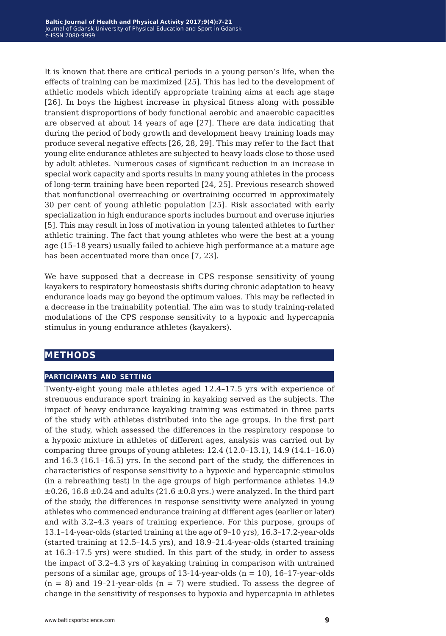It is known that there are critical periods in a young person's life, when the effects of training can be maximized [25]. This has led to the development of athletic models which identify appropriate training aims at each age stage [26]. In boys the highest increase in physical fitness along with possible transient disproportions of body functional aerobic and anaerobic capacities are observed at about 14 years of age [27]. There are data indicating that during the period of body growth and development heavy training loads may produce several negative effects [26, 28, 29]. This may refer to the fact that young elite endurance athletes are subjected to heavy loads close to those used by adult athletes. Numerous cases of significant reduction in an increase in special work capacity and sports results in many young athletes in the process of long-term training have been reported [24, 25]. Previous research showed that nonfunctional overreaching or overtraining occurred in approximately 30 per cent of young athletic population [25]. Risk associated with early specialization in high endurance sports includes burnout and overuse injuries [5]. This may result in loss of motivation in young talented athletes to further athletic training. The fact that young athletes who were the best at a young age (15–18 years) usually failed to achieve high performance at a mature age has been accentuated more than once [7, 23].

We have supposed that a decrease in CPS response sensitivity of young kayakers to respiratory homeostasis shifts during chronic adaptation to heavy endurance loads may go beyond the optimum values. This may be reflected in a decrease in the trainability potential. The aim was to study training-related modulations of the CPS response sensitivity to a hypoxic and hypercapnia stimulus in young endurance athletes (kayakers).

## **меthods**

#### **participants and setting**

Twenty-eight young male athletes aged 12.4–17.5 yrs with experience of strenuous endurance sport training in kayaking served as the subjects. The impact of heavy endurance kayaking training was estimated in three parts of the study with athletes distributed into the age groups. In the first part of the study, which assessed the differences in the respiratory response to a hypoxic mixture in athletes of different ages, analysis was carried out by comparing three groups of young athletes: 12.4 (12.0–13.1), 14.9 (14.1–16.0) and 16.3 (16.1–16.5) yrs. In the second part of the study, the differences in characteristics of response sensitivity to a hypoxic and hypercapnic stimulus (in a rebreathing test) in the age groups of high performance athletes 14.9  $\pm 0.26$ , 16.8  $\pm 0.24$  and adults (21.6  $\pm 0.8$  yrs.) were analyzed. In the third part of the study, the differences in response sensitivity were analyzed in young athletes who commenced endurance training at different ages (earlier or later) and with 3.2–4.3 years of training experience. For this purpose, groups of 13.1–14-year-olds (started training at the age of 9–10 yrs), 16.3–17.2-year-olds (started training at 12.5–14.5 yrs), and 18.9–21.4-year-olds (started training at 16.3–17.5 yrs) were studied. In this part of the study, in order to assess the impact of 3.2–4.3 yrs of kayaking training in comparison with untrained persons of a similar age, groups of  $13-14$ -year-olds (n = 10),  $16-17$ -year-olds  $(n = 8)$  and 19-21-year-olds  $(n = 7)$  were studied. To assess the degree of change in the sensitivity of responses to hypoxia and hypercapnia in athletes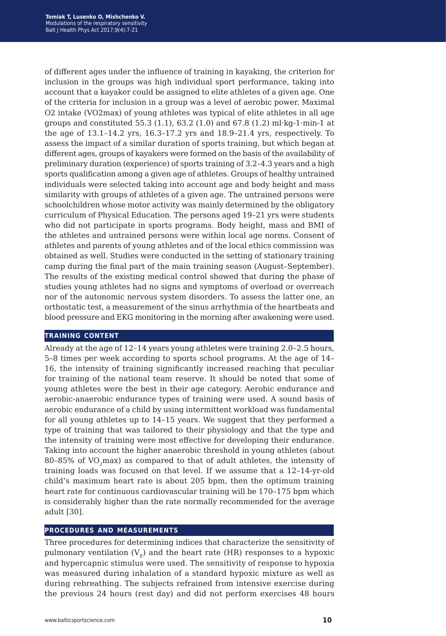of different ages under the influence of training in kayaking, the criterion for inclusion in the groups was high individual sport performance, taking into account that a kayaker could be assigned to elite athletes of a given age. One of the criteria for inclusion in a group was a level of aerobic power. Maximal O2 intake (VO2max) of young athletes was typical of elite athletes in all age groups and constituted 55.3 (1.1), 63.2 (1.0) and 67.8 (1.2) ml·kg-1·min-1 at the age of 13.1–14.2 yrs, 16.3–17.2 yrs and 18.9–21.4 yrs, respectively. To assess the impact of a similar duration of sports training, but which began at different ages, groups of kayakers were formed on the basis of the availability of preliminary duration (experience) of sports training of 3.2–4.3 years and a high sports qualification among a given age of athletes. Groups of healthy untrained individuals were selected taking into account age and body height and mass similarity with groups of athletes of a given age. The untrained persons were schoolchildren whose motor activity was mainly determined by the obligatory curriculum of Physical Education. The persons aged 19–21 yrs were students who did not participate in sports programs. Body height, mass and BMI of the athletes and untrained persons were within local age norms. Consent of athletes and parents of young athletes and of the local ethics commission was obtained as well. Studies were conducted in the setting of stationary training camp during the final part of the main training season (August–September). The results of the existing medical control showed that during the phase of studies young athletes had no signs and symptoms of overload or overreach nor of the autonomic nervous system disorders. To assess the latter one, an orthostatic test, a measurement of the sinus arrhythmia of the heartbeats and blood pressure and EKG monitoring in the morning after awakening were used.

#### **training content**

Already at the age of 12–14 years young athletes were training 2.0–2.5 hours, 5–8 times per week according to sports school programs. At the age of 14– 16, the intensity of training significantly increased reaching that peculiar for training of the national team reserve. It should be noted that some of young athletes were the best in their age category. Aerobic endurance and aerobic-anaerobic endurance types of training were used. A sound basis of aerobic endurance of a child by using intermittent workload was fundamental for all young athletes up to 14–15 years. We suggest that they performed a type of training that was tailored to their physiology and that the type and the intensity of training were most effective for developing their endurance. Taking into account the higher anaerobic threshold in young athletes (about 80-85% of VO<sub>2</sub>max) as compared to that of adult athletes, the intensity of training loads was focused on that level. If we assume that a 12–14-yr-old child's maximum heart rate is about 205 bpm, then the optimum training heart rate for continuous cardiovascular training will be 170–175 bpm which is considerably higher than the rate normally recommended for the average adult [30].

#### **procedures and measurements**

Three procedures for determining indices that characterize the sensitivity of pulmonary ventilation  $(V_F)$  and the heart rate (HR) responses to a hypoxic and hypercapnic stimulus were used. The sensitivity of response to hypoxia was measured during inhalation of a standard hypoxic mixture as well as during rebreathing. The subjects refrained from intensive exercise during the previous 24 hours (rest day) and did not perform exercises 48 hours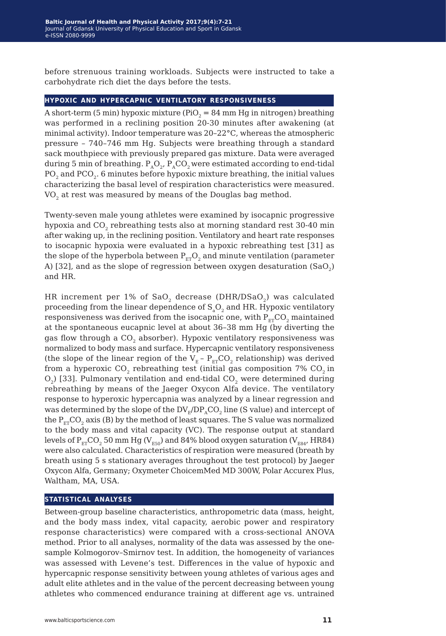before strenuous training workloads. Subjects were instructed to take a carbohydrate rich diet the days before the tests.

#### **hypoxic and hypercapnic ventilatory responsiveness**

A short-term (5 min) hypoxic mixture (PiO<sub>2</sub> = 84 mm Hg in nitrogen) breathing was performed in a reclining position 20-30 minutes after awakening (at minimal activity). Indoor temperature was 20–22°С, whereas the atmospheric pressure – 740–746 mm Hg. Subjects were breathing through a standard sack mouthpiece with previously prepared gas mixture. Data were averaged during 5 min of breathing.  $P_{A}O_{2}$ ,  $P_{A}CO_{2}$  were estimated according to end-tidal РО<sub>2</sub> and РСО<sub>2</sub>. 6 minutes before hypoxic mixture breathing, the initial values characterizing the basal level of respiration characteristics were measured. VO<sub>2</sub> at rest was measured by means of the Douglas bag method.

Twenty-seven male young athletes were examined by isocapnic progressive hypoxia and CO<sub>2</sub> rebreathing tests also at morning standard rest 30-40 min after waking up, in the reclining position. Ventilatory and heart rate responses to isocapnic hypoxia were evaluated in a hypoxic rebreathing test [31] as the slope of the hyperbola between  $P_{ET}O_2$  and minute ventilation (parameter A) [32], and as the slope of regression between oxygen desaturation  $(SaO<sub>2</sub>)$ and HR.

HR increment per 1% of  $SaO<sub>2</sub>$  decrease (DHR/DSaO<sub>2</sub>) was calculated proceeding from the linear dependence of  $S_aO_2$  and HR. Hypoxic ventilatory responsiveness was derived from the isocapnic one, with  $P_{ET}CO_2$  maintained at the spontaneous eucapnic level at about 36–38 mm Hg (by diverting the gas flow through a CO<sub>2</sub> absorber). Hypoxic ventilatory responsiveness was normalized to body mass and surface. Hypercapnic ventilatory responsiveness (the slope of the linear region of the  $V_{E}$  –  $P_{ET}CO_2$  relationship) was derived from a hyperoxic  $CO_2$  rebreathing test (initial gas composition 7%  $CO_2$  in  $O<sub>2</sub>$ ) [33]. Pulmonary ventilation and end-tidal CO<sub>2</sub> were determined during rebreathing by means of the Jaeger Oxycon Alfa device. The ventilatory response to hyperoxic hypercapnia was analyzed by a linear regression and was determined by the slope of the  $DV_F/DP_ACO_2$  line (S value) and intercept of the  $P_{ET}CO$ , axis (B) by the method of least squares. The S value was normalized to the body mass and vital capacity (VC). The response output at standard levels of  $P_{ET}CO_2$  50 mm Hg ( $V_{ES0}$ ) and 84% blood oxygen saturation ( $V_{ES4}$ , HR84) were also calculated. Characteristics of respiration were measured (breath by breath using 5 s stationary averages throughout the test protocol) by Jaeger Oxycon Alfa, Germany; Oxymeter ChoicemMed MD 300W, Polar Accurex Plus, Waltham, MA, USA.

#### **statistical analyses**

Between-group baseline characteristics, anthropometric data (mass, height, and the body mass index, vital capacity, aerobic power and respiratory response characteristics) were compared with a cross-sectional ANOVA method. Prior to all analyses, normality of the data was assessed by the onesample Kolmogorov–Smirnov test. In addition, the homogeneity of variances was assessed with Levene's test. Differences in the value of hypoxic and hypercapnic response sensitivity between young athletes of various ages and adult elite athletes and in the value of the percent decreasing between young athletes who commenced endurance training at different age vs. untrained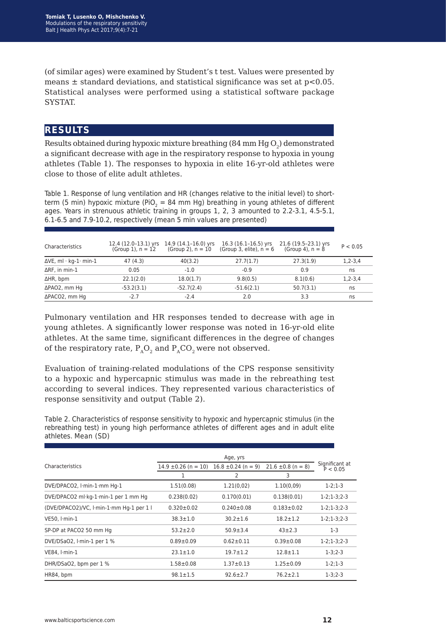(of similar ages) were examined by Student's t test. Values were presented by means  $\pm$  standard deviations, and statistical significance was set at  $p<0.05$ . Statistical analyses were performed using a statistical software package **SYSTAT** 

## **results**

Results obtained during hypoxic mixture breathing  $(84 \text{ mm Hg O}_2)$  demonstrated a significant decrease with age in the respiratory response to hypoxia in young athletes (Table 1). The responses to hypoxia in elite 16-yr-old athletes were close to those of elite adult athletes.

Table 1. Response of lung ventilation and HR (changes relative to the initial level) to shortterm (5 min) hypoxic mixture (PiO<sub>2</sub> = 84 mm Hg) breathing in young athletes of different ages. Years in strenuous athletic training in groups 1, 2, 3 amounted to 2.2-3.1, 4.5-5.1, 6.1-6.5 and 7.9-10.2, respectively (mean 5 min values are presented)

| Characteristics                | $(Group 1)$ , $n = 12$ | 12.4 (12.0-13.1) yrs 14.9 (14.1-16.0) yrs<br>(Group 2), $n = 10$ | $16.3(16.1 - 16.5)$ yrs<br>(Group 3, elite), $n = 6$ | 21.6 (19.5–23.1) yrs<br>(Group 4), n = 8 | P < 0.05      |
|--------------------------------|------------------------|------------------------------------------------------------------|------------------------------------------------------|------------------------------------------|---------------|
| $\Delta$ VE, ml · kg-1 · min-1 | 47 (4.3)               | 40(3.2)                                                          | 27.7(1.7)                                            | 27.3(1.9)                                | $1, 2 - 3, 4$ |
| $\Delta$ RF, in min-1          | 0.05                   | $-1.0$                                                           | $-0.9$                                               | 0.9                                      | ns            |
| ∆HR, bpm                       | 22.1(2.0)              | 18.0(1.7)                                                        | 9.8(0.5)                                             | 8.1(0.6)                                 | $1, 2 - 3, 4$ |
| ΔPAO2, mm Hq                   | $-53.2(3.1)$           | $-52.7(2.4)$                                                     | $-51.6(2.1)$                                         | 50.7(3.1)                                | ns            |
| $\Delta$ PACO2, mm Hg          | $-2.7$                 | $-2.4$                                                           | 2.0                                                  | 3.3                                      | ns            |

Pulmonary ventilation and HR responses tended to decrease with age in young athletes. A significantly lower response was noted in 16-yr-old elite athletes. At the same time, significant differences in the degree of changes of the respiratory rate,  $P_{A}O_{2}$  and  $P_{A}CO_{2}$  were not observed.

Evaluation of training-related modulations of the CPS response sensitivity to a hypoxic and hypercapnic stimulus was made in the rebreathing test according to several indices. They represented various characteristics of response sensitivity and output (Table 2).

Таble 2. Characteristics of response sensitivity to hypoxic and hypercapnic stimulus (in the rebreathing test) in young high performance athletes of different ages and in adult elite athletes. Mean (SD)

| Characteristics                          | $14.9 \pm 0.26$ (n = 10) | $16.8 \pm 0.24$ (n = 9) | $21.6 \pm 0.8$ (n = 8) | Significant at<br>P < 0.05 |
|------------------------------------------|--------------------------|-------------------------|------------------------|----------------------------|
|                                          | 1                        | 2                       | 3                      |                            |
| DVE/DPACO2, I.min-1.mm Hg-1              | 1.51(0.08)               | 1.21(0.02)              | 1.10(0.09)             | $1 - 2:1 - 3$              |
| DVE/DPACO2 ml·kg-1·min-1 per 1 mm Hg     | 0.238(0.02)              | 0.170(0.01)             | 0.138(0.01)            | $1-2;1-3;2-3$              |
| (DVE/DPACO2)/VC, I.min-1.mm Hq-1 per 1 I | $0.320 \pm 0.02$         | $0.240 \pm 0.08$        | $0.183 \pm 0.02$       | $1 - 2; 1 - 3; 2 - 3$      |
| VE50. I min-1                            | $38.3 \pm 1.0$           | $30.2 \pm 1.6$          | $18.2 \pm 1.2$         | $1 - 2:1 - 3:2 - 3$        |
| SP-DP at PACO2 50 mm Hg                  | $53.2 \pm 2.0$           | $50.9 \pm 3.4$          | $43 + 2.3$             | $1-3$                      |
| DVE/DSaO2, I·min-1 per 1 %               | $0.89 + 0.09$            | $0.62 \pm 0.11$         | $0.39 + 0.08$          | $1-2; 1-3; 2-3$            |
| VE84, I·min-1                            | $23.1 \pm 1.0$           | $19.7 \pm 1.2$          | $12.8 \pm 1.1$         | $1 - 3; 2 - 3$             |
| DHR/DSaO2, bpm per 1 %                   | $1.58 + 0.08$            | $1.37 \pm 0.13$         | $1.25 \pm 0.09$        | $1-2;1-3$                  |
| HR84, bpm                                | $98.1 \pm 1.5$           | $92.6 \pm 2.7$          | $76.2 \pm 2.1$         | $1 - 3; 2 - 3$             |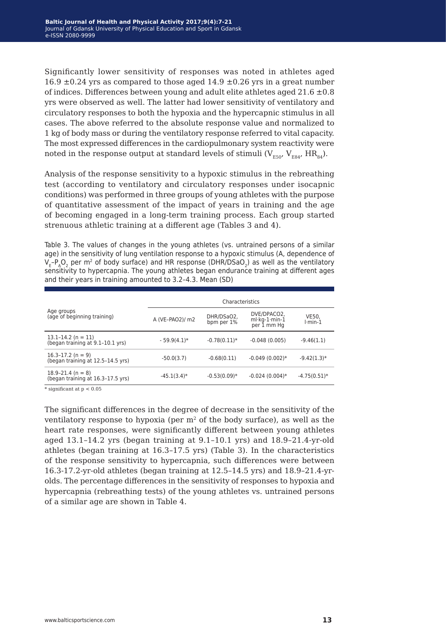Significantly lower sensitivity of responses was noted in athletes aged 16.9  $\pm$ 0.24 yrs as compared to those aged 14.9  $\pm$ 0.26 yrs in a great number of indices. Differences between young and adult elite athletes aged  $21.6 \pm 0.8$ yrs were observed as well. The latter had lower sensitivity of ventilatory and circulatory responses to both the hypoxia and the hypercapnic stimulus in all cases. The above referred to the absolute response value and normalized to 1 kg of body mass or during the ventilatory response referred to vital capacity. The most expressed differences in the cardiopulmonary system reactivity were noted in the response output at standard levels of stimuli  $(V_{F50'}V_{F84'}HR_{84})$ .

Analysis of the response sensitivity to a hypoxic stimulus in the rebreathing test (according to ventilatory and circulatory responses under isocapnic conditions) was performed in three groups of young athletes with the purpose of quantitative assessment of the impact of years in training and the age of becoming engaged in a long-term training process. Each group started strenuous athletic training at a different age (Tables 3 and 4).

Table 3. The values of changes in the young athletes (vs. untrained persons of a similar age) in the sensitivity of lung ventilation response to a hypoxic stimulus (A, dependence of  $\rm V_{E^-}P_{A}O_{2}$  per m<sup>2</sup> of body surface) and HR response (DHR/DSaO<sub>2</sub>) as well as the ventilatory sensitivity to hypercapnia. The young athletes began endurance training at different ages and their years in training amounted to 3.2–4.3. Mean (SD)

|                                                            | Characteristics |                          |                                               |                    |
|------------------------------------------------------------|-----------------|--------------------------|-----------------------------------------------|--------------------|
| Age groups<br>(age of beginning training)                  | A (VE-PAO2)/ m2 | DHR/DSaO2,<br>bpm per 1% | DVE/DPACO2,<br>$ml·kg-1·min-1$<br>per 1 mm Hg | VE50.<br>$l·min-1$ |
| 13.1-14.2 (n = 11)<br>(began training at 9.1-10.1 yrs)     | $-59.9(4.1)*$   | $-0.78(0.11)*$           | $-0.048(0.005)$                               | $-9.46(1.1)$       |
| $16.3 - 17.2$ (n = 9)<br>(began training at 12.5-14.5 yrs) | $-50.0(3.7)$    | $-0.68(0.11)$            | $-0.049(0.002)*$                              | $-9.42(1.3)*$      |
| $18.9 - 21.4$ (n = 8)<br>(began training at 16.3-17.5 yrs) | $-45.1(3.4)$ *  | $-0.53(0.09)*$           | $-0.024(0.004)*$                              | $-4.75(0.51)$ *    |

 $*$  significant at  $p < 0.05$ 

The significant differences in the degree of decrease in the sensitivity of the ventilatory response to hypoxia (per  $m<sup>2</sup>$  of the body surface), as well as the heart rate responses, were significantly different between young athletes aged 13.1–14.2 yrs (began training at 9.1–10.1 yrs) and 18.9–21.4-yr-old athletes (began training at 16.3–17.5 yrs) (Table 3). In the characteristics of the response sensitivity to hypercapnia, such differences were between 16.3-17.2-yr-old athletes (began training at 12.5–14.5 yrs) and 18.9–21.4-yrolds. The percentage differences in the sensitivity of responses to hypoxia and hypercapnia (rebreathing tests) of the young athletes vs. untrained persons of a similar age are shown in Table 4.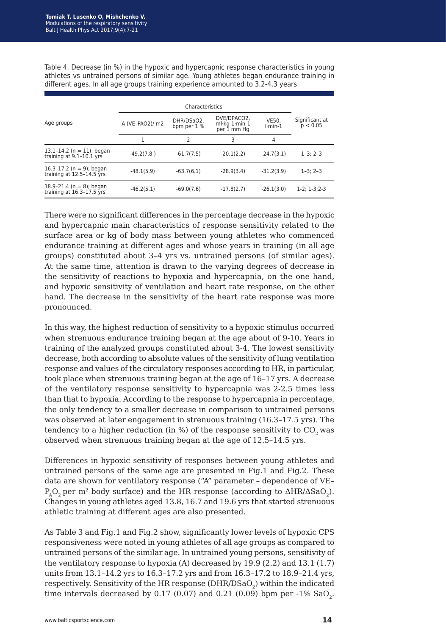Table 4. Decrease (in %) in the hypoxic and hypercapnic response characteristics in young athletes vs untrained persons of similar age. Young athletes began endurance training in different ages. In all age groups training experience amounted to 3.2-4.3 years

| Age groups                                                | A (VE-PAO2)/ m2 | DHR/DSaO2,<br>bpm per 1 % | DVE/DPACO2,<br>ml·kg-1·min-1<br>per 1 mm Hq | <b>VE50.</b><br>$l$ -min-1 | Significant at<br>p < 0.05 |
|-----------------------------------------------------------|-----------------|---------------------------|---------------------------------------------|----------------------------|----------------------------|
|                                                           |                 | 2                         | 3                                           | 4                          |                            |
| 13.1-14.2 ( $n = 11$ ); began<br>training at 9.1-10.1 yrs | $-49.2(7.8)$    | $-61.7(7.5)$              | $-20.1(2.2)$                                | $-24.7(3.1)$               | $1 - 3: 2 - 3$             |
| 16.3-17.2 (n = 9); began<br>training at 12.5-14.5 yrs     | $-48.1(5.9)$    | $-63.7(6.1)$              | $-28.9(3.4)$                                | $-31.2(3.9)$               | $1-3:2-3$                  |
| 18.9-21.4 ( $n = 8$ ); began<br>training at 16.3-17.5 yrs | $-46.2(5.1)$    | $-69.0(7.6)$              | $-17.8(2.7)$                                | $-26.1(3.0)$               | $1-2: 1-3: 2-3$            |

There were no significant differences in the percentage decrease in the hypoxic and hypercapnic main characteristics of response sensitivity related to the surface area or kg of body mass between young athletes who commenced endurance training at different ages and whose years in training (in all age groups) constituted about 3–4 yrs vs. untrained persons (of similar ages). At the same time, attention is drawn to the varying degrees of decrease in the sensitivity of reactions to hypoxia and hypercapnia, on the one hand, and hypoxic sensitivity of ventilation and heart rate response, on the other hand. The decrease in the sensitivity of the heart rate response was more pronounced.

In this way, the highest reduction of sensitivity to a hypoxic stimulus occurred when strenuous endurance training began at the age about of 9-10. Years in training of the analyzed groups constituted about 3-4. The lowest sensitivity decrease, both according to absolute values of the sensitivity of lung ventilation response and values of the circulatory responses according to HR, in particular, took place when strenuous training began at the age of 16–17 yrs. A decrease of the ventilatory response sensitivity to hypercapnia was 2-2.5 times less than that to hypoxia. According to the response to hypercapnia in percentage, the only tendency to a smaller decrease in comparison to untrained persons was observed at later engagement in strenuous training (16.3–17.5 yrs). The tendency to a higher reduction (in  $\%$ ) of the response sensitivity to CO<sub>2</sub> was observed when strenuous training began at the age of 12.5–14.5 yrs.

Differences in hypoxic sensitivity of responses between young athletes and untrained persons of the same age are presented in Fig.1 and Fig.2. These data are shown for ventilatory response ("A" parameter – dependence of VE–  $P_AO_2$  per m<sup>2</sup> body surface) and the HR response (according to  $\triangle$ HR/ $\triangle$ SaO<sub>2</sub>). Changes in young athletes aged 13.8, 16.7 and 19.6 yrs that started strenuous athletic training at different ages are also presented.

As Table 3 and Fig.1 and Fig.2 show, significantly lower levels of hypoxic CPS responsiveness were noted in young athletes of all age groups as compared to untrained persons of the similar age. In untrained young persons, sensitivity of the ventilatory response to hypoxia (A) decreased by 19.9 (2.2) and 13.1 (1.7) units from 13.1–14.2 yrs to 16.3–17.2 yrs and from 16.3–17.2 to 18.9–21.4 yrs, respectively. Sensitivity of the HR response (DHR/DSaO<sub>2</sub>) within the indicated time intervals decreased by 0.17 (0.07) and 0.21 (0.09) bpm per -1%  $SaO<sub>2</sub>$ .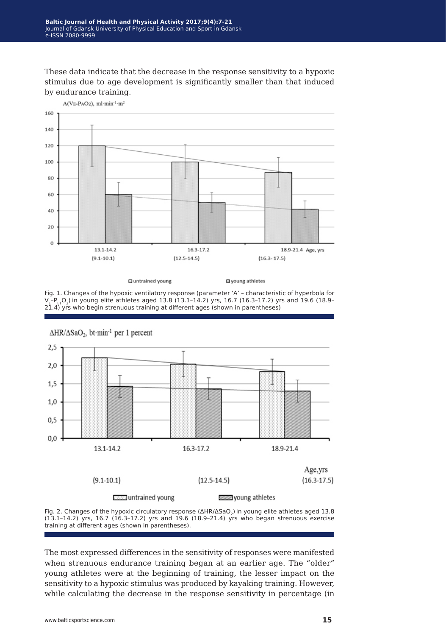These data indicate that the decrease in the response sensitivity to a hypoxic stimulus due to age development is significantly smaller than that induced by endurance training.



**El** untrained young

g young athletes

Fig. 1. Changes of the hypoxic ventilatory response (parameter 'A' – characteristic of hyperbola for  $V_{E^-}P_{ET}O_2$ ) in young elite athletes aged 13.8 (13.1-14.2) yrs, 16.7 (16.3-17.2) yrs and 19.6 (18.9- $2\overline{1}.4$ ) yrs who begin strenuous training at different ages (shown in parentheses)



 $\Delta HR/\Delta SaO_2$ , bt·min<sup>-1</sup> per 1 percent

Fig. 2. Changes of the hypoxic circulatory response (ΔHR/ΔSaO2)in young elite athletes aged 13.8 (13.1–14.2) yrs, 16.7 (16.3–17.2) yrs and 19.6 (18.9–21.4) yrs who began strenuous exercise training at different ages (shown in parentheses).

The most expressed differences in the sensitivity of responses were manifested when strenuous endurance training began at an earlier age. The "older" young athletes were at the beginning of training, the lesser impact on the sensitivity to a hypoxic stimulus was produced by kayaking training. However, while calculating the decrease in the response sensitivity in percentage (in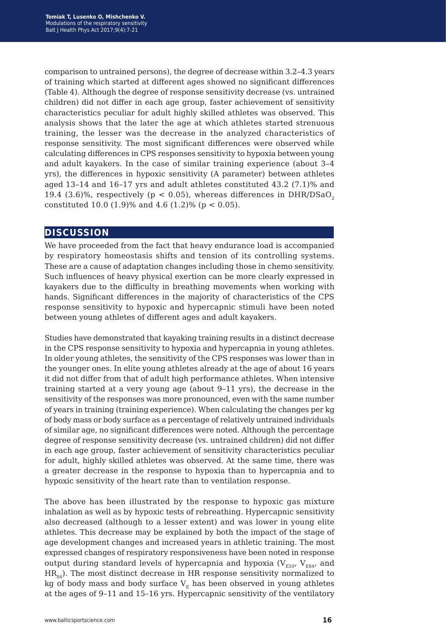comparison to untrained persons), the degree of decrease within 3.2–4.3 years of training which started at different ages showed no significant differences (Table 4). Although the degree of response sensitivity decrease (vs. untrained children) did not differ in each age group, faster achievement of sensitivity characteristics peculiar for adult highly skilled athletes was observed. This analysis shows that the later the age at which athletes started strenuous training, the lesser was the decrease in the analyzed characteristics of response sensitivity. The most significant differences were observed while calculating differences in CPS responses sensitivity to hypoxia between young and adult kayakers. In the case of similar training experience (about 3–4 yrs), the differences in hypoxic sensitivity (A parameter) between athletes aged 13–14 and 16–17 yrs and adult athletes constituted 43.2 (7.1)% and 19.4 (3.6)%, respectively ( $p < 0.05$ ), whereas differences in DHR/DSaO<sub>2</sub> constituted 10.0 (1.9)% and 4.6 (1.2)% ( $p < 0.05$ ).

## **discussion**

We have proceeded from the fact that heavy endurance load is accompanied by respiratory homeostasis shifts and tension of its controlling systems. These are a cause of adaptation changes including those in chemo sensitivity. Such influences of heavy physical exertion can be more clearly expressed in kayakers due to the difficulty in breathing movements when working with hands. Significant differences in the majority of characteristics of the CPS response sensitivity to hypoxic and hypercapnic stimuli have been noted between young athletes of different ages and adult kayakers.

Studies have demonstrated that kayaking training results in a distinct decrease in the CPS response sensitivity to hypoxia and hypercapnia in young athletes. In older young athletes, the sensitivity of the CPS responses was lower than in the younger ones. In elite young athletes already at the age of about 16 years it did not differ from that of adult high performance athletes. When intensive training started at a very young age (about 9–11 yrs), the decrease in the sensitivity of the responses was more pronounced, even with the same number of years in training (training experience). When calculating the changes per kg of body mass or body surface as a percentage of relatively untrained individuals of similar age, no significant differences were noted. Although the percentage degree of response sensitivity decrease (vs. untrained children) did not differ in each age group, faster achievement of sensitivity characteristics peculiar for adult, highly skilled athletes was observed. At the same time, there was a greater decrease in the response to hypoxia than to hypercapnia and to hypoxic sensitivity of the heart rate than to ventilation response.

The above has been illustrated by the response to hypoxic gas mixture inhalation as well as by hypoxic tests of rebreathing. Hypercapnic sensitivity also decreased (although to a lesser extent) and was lower in young elite athletes. This decrease may be explained by both the impact of the stage of age development changes and increased years in athletic training. The most expressed changes of respiratory responsiveness have been noted in response output during standard levels of hypercapnia and hypoxia ( $V_{ESO}$ ,  $V_{ES4}$ , and  $HR<sub>84</sub>$ ). The most distinct decrease in HR response sensitivity normalized to kg of body mass and body surface  $V_E$  has been observed in young athletes at the ages of 9–11 and 15–16 yrs. Hypercapnic sensitivity of the ventilatory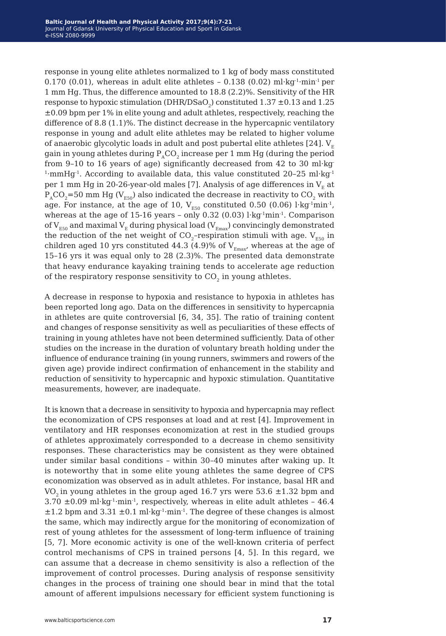response in young elite athletes normalized to 1 kg of body mass constituted 0.170 (0.01), whereas in adult elite athletes - 0.138 (0.02) ml·kg<sup>-1</sup>·min<sup>-1</sup> per 1 mm Hg. Thus, the difference amounted to 18.8 (2.2)%. Sensitivity of the HR response to hypoxic stimulation (DHR/DSaO<sub>2</sub>) constituted  $1.37 \pm 0.13$  and  $1.25$ ±0.09 bpm per 1% in elite young and adult athletes, respectively, reaching the difference of 8.8 (1.1)%. The distinct decrease in the hypercapnic ventilatory response in young and adult elite athletes may be related to higher volume of anaerobic glycolytic loads in adult and post pubertal elite athletes [24].  $V_{E}$ gain in young athletes during  $P_{A}CO_{2}$  increase per 1 mm Hg (during the period from 9–10 to 16 years of age) significantly decreased from 42 to 30 ml·kg-<sup>1</sup>·mmHg<sup>-1</sup>. According to available data, this value constituted 20-25 ml·kg<sup>-1</sup> per 1 mm Hg in 20-26-year-old males [7]. Analysis of age differences in  $V_F$  at  $P_{A}CO_{2}=50$  mm Hg (V<sub>E50</sub>) also indicated the decrease in reactivity to CO<sub>2</sub> with age. For instance, at the age of 10,  $V_{E50}$  constituted 0.50 (0.06) l·kg<sup>-1</sup>min<sup>-1</sup>, whereas at the age of 15-16 years - only 0.32 (0.03)  $l$ ·kg<sup>-1</sup>min<sup>-1</sup>. Comparison of  $V_{E50}$  and maximal  $V_{E}$  during physical load ( $V_{Emax}$ ) convincingly demonstrated the reduction of the net weight of  $CO_2$ -respiration stimuli with age.  $V_{ES0}$  in children aged 10 yrs constituted 44.3 (4.9)% of  $V_{E_{\text{max}}}$ , whereas at the age of 15–16 yrs it was equal only to 28 (2.3)%. The presented data demonstrate that heavy endurance kayaking training tends to accelerate age reduction of the respiratory response sensitivity to  $CO<sub>2</sub>$  in young athletes.

A decrease in response to hypoxia and resistance to hypoxia in athletes has been reported long ago. Data on the differences in sensitivity to hypercapnia in athletes are quite controversial [6, 34, 35]. The ratio of training content and changes of response sensitivity as well as peculiarities of these effects of training in young athletes have not been determined sufficiently. Data of other studies on the increase in the duration of voluntary breath holding under the influence of endurance training (in young runners, swimmers and rowers of the given age) provide indirect confirmation of enhancement in the stability and reduction of sensitivity to hypercapnic and hypoxic stimulation. Quantitative measurements, however, are inadequate.

It is known that a decrease in sensitivity to hypoxia and hypercapnia may reflect the economization of CPS responses at load and at rest [4]. Improvement in ventilatory and HR responses economization at rest in the studied groups of athletes approximately corresponded to a decrease in chemo sensitivity responses. These characteristics may be consistent as they were obtained under similar basal conditions – within 30–40 minutes after waking up. It is noteworthy that in some elite young athletes the same degree of CPS economization was observed as in adult athletes. For instance, basal HR and VO<sub>2</sub> in young athletes in the group aged 16.7 yrs were 53.6  $\pm$ 1.32 bpm and  $3.70 \pm 0.09$  ml·kg<sup>-1</sup>·min<sup>-1</sup>, respectively, whereas in elite adult athletes - 46.4  $\pm$ 1.2 bpm and 3.31  $\pm$ 0.1 ml·kg<sup>-1</sup>·min<sup>-1</sup>. The degree of these changes is almost the same, which may indirectly argue for the monitoring of economization of rest of young athletes for the assessment of long-term influence of training [5, 7]. More economic activity is one of the well-known criteria of perfect control mechanisms of CPS in trained persons [4, 5]. In this regard, we can assume that a decrease in chemo sensitivity is also a reflection of the improvement of control processes. During analysis of response sensitivity changes in the process of training one should bear in mind that the total amount of afferent impulsions necessary for efficient system functioning is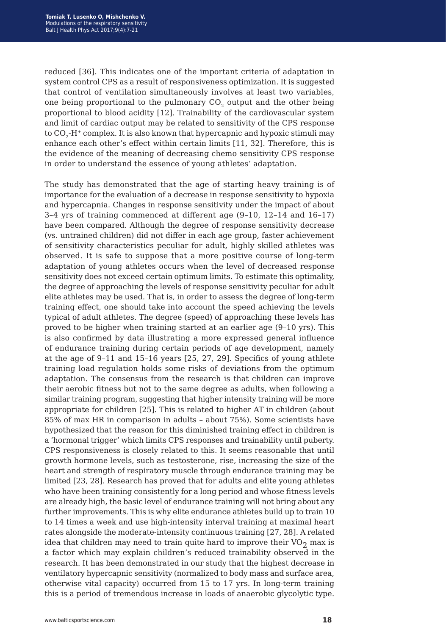reduced [36]. This indicates one of the important criteria of adaptation in system control CPS as a result of responsiveness optimization. It is suggested that control of ventilation simultaneously involves at least two variables, one being proportional to the pulmonary CO<sub>2</sub> output and the other being proportional to blood acidity [12]. Trainability of the cardiovascular system and limit of cardiac output may be related to sensitivity of the CPS response to  $CO<sub>2</sub>-H<sup>+</sup>$  complex. It is also known that hypercapnic and hypoxic stimuli may enhance each other's effect within certain limits [11, 32]. Therefore, this is the evidence of the meaning of decreasing chemo sensitivity CPS response in order to understand the essence of young athletes' adaptation.

The study has demonstrated that the age of starting heavy training is of importance for the evaluation of a decrease in response sensitivity to hypoxia and hypercapnia. Changes in response sensitivity under the impact of about 3–4 yrs of training commenced at different age (9–10, 12–14 and 16–17) have been compared. Although the degree of response sensitivity decrease (vs. untrained children) did not differ in each age group, faster achievement of sensitivity characteristics peculiar for adult, highly skilled athletes was observed. It is safe to suppose that a more positive course of long-term adaptation of young athletes occurs when the level of decreased response sensitivity does not exceed certain optimum limits. To estimate this optimality, the degree of approaching the levels of response sensitivity peculiar for adult elite athletes may be used. That is, in order to assess the degree of long-term training effect, one should take into account the speed achieving the levels typical of adult athletes. The degree (speed) of approaching these levels has proved to be higher when training started at an earlier age (9–10 yrs). This is also confirmed by data illustrating a more expressed general influence of endurance training during certain periods of age development, namely at the age of 9–11 and 15–16 years [25, 27, 29]. Specifics of young athlete training load regulation holds some risks of deviations from the optimum adaptation. The consensus from the research is that children can improve their aerobic fitness but not to the same degree as adults, when following a similar training program, suggesting that higher intensity training will be more appropriate for children [25]. This is related to higher AT in children (about 85% of max HR in comparison in adults – about 75%). Some scientists have hypothesized that the reason for this diminished training effect in children is a 'hormonal trigger' which limits CPS responses and trainability until puberty. CPS responsiveness is closely related to this. It seems reasonable that until growth hormone levels, such as testosterone, rise, increasing the size of the heart and strength of respiratory muscle through endurance training may be limited [23, 28]. Research has proved that for adults and elite young athletes who have been training consistently for a long period and whose fitness levels are already high, the basic level of endurance training will not bring about any further improvements. This is why elite endurance athletes build up to train 10 to 14 times a week and use high-intensity interval training at maximal heart rates alongside the moderate-intensity continuous training [27, 28]. A related idea that children may need to train quite hard to improve their  $VO<sub>2</sub>$  max is a factor which may explain children's reduced trainability observed in the research. It has been demonstrated in our study that the highest decrease in ventilatory hypercapnic sensitivity (normalized to body mass and surface area, otherwise vital capacity) occurred from 15 to 17 yrs. In long-term training this is a period of tremendous increase in loads of anaerobic glycolytic type.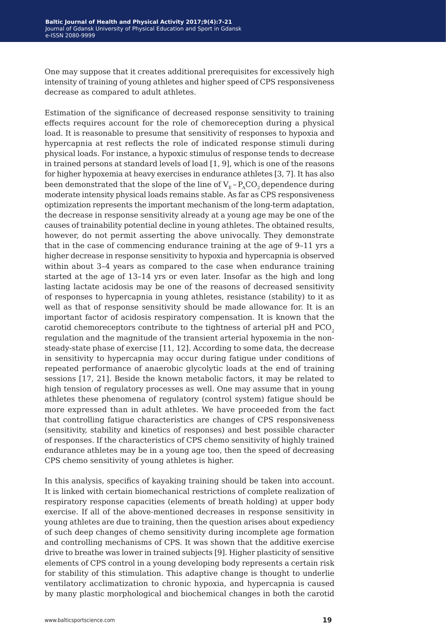One may suppose that it creates additional prerequisites for excessively high intensity of training of young athletes and higher speed of CPS responsiveness decrease as compared to adult athletes.

Estimation of the significance of decreased response sensitivity to training effects requires account for the role of chemoreception during a physical load. It is reasonable to presume that sensitivity of responses to hypoxia and hypercapnia at rest reflects the role of indicated response stimuli during physical loads. For instance, a hypoxic stimulus of response tends to decrease in trained persons at standard levels of load [1, 9], which is one of the reasons for higher hypoxemia at heavy exercises in endurance athletes [3, 7]. It has also been demonstrated that the slope of the line of  $V_F$  –  $P_ACO$ , dependence during moderate intensity physical loads remains stable. As far as CPS responsiveness optimization represents the important mechanism of the long-term adaptation, the decrease in response sensitivity already at a young age may be one of the causes of trainability potential decline in young athletes. The obtained results, however, do not permit asserting the above univocally. They demonstrate that in the case of commencing endurance training at the age of 9–11 yrs a higher decrease in response sensitivity to hypoxia and hypercapnia is observed within about 3–4 years as compared to the case when endurance training started at the age of 13–14 yrs or even later. Insofar as the high and long lasting lactate acidosis may be one of the reasons of decreased sensitivity of responses to hypercapnia in young athletes, resistance (stability) to it as well as that of response sensitivity should be made allowance for. It is an important factor of acidosis respiratory compensation. It is known that the carotid chemoreceptors contribute to the tightness of arterial pH and PCO<sub>2</sub> regulation and the magnitude of the transient arterial hypoxemia in the nonsteady-state phase of exercise [11, 12]. According to some data, the decrease in sensitivity to hypercapnia may occur during fatigue under conditions of repeated performance of anaerobic glycolytic loads at the end of training sessions [17, 21]. Beside the known metabolic factors, it may be related to high tension of regulatory processes as well. One may assume that in young athletes these phenomena of regulatory (control system) fatigue should be more expressed than in adult athletes. We have proceeded from the fact that controlling fatigue characteristics are changes of CPS responsiveness (sensitivity, stability and kinetics of responses) and best possible character of responses. If the characteristics of CPS chemo sensitivity of highly trained endurance athletes may be in a young age too, then the speed of decreasing CPS chemo sensitivity of young athletes is higher.

In this analysis, specifics of kayaking training should be taken into account. It is linked with certain biomechanical restrictions of complete realization of respiratory response capacities (elements of breath holding) at upper body exercise. If all of the above-mentioned decreases in response sensitivity in young athletes are due to training, then the question arises about expediency of such deep changes of chemo sensitivity during incomplete age formation and controlling mechanisms of CPS. It was shown that the additive exercise drive to breathe was lower in trained subjects [9]. Higher plasticity of sensitive elements of CPS control in a young developing body represents a certain risk for stability of this stimulation. This adaptive change is thought to underlie ventilatory acclimatization to chronic hypoxia, and hypercapnia is caused by many plastic morphological and biochemical changes in both the carotid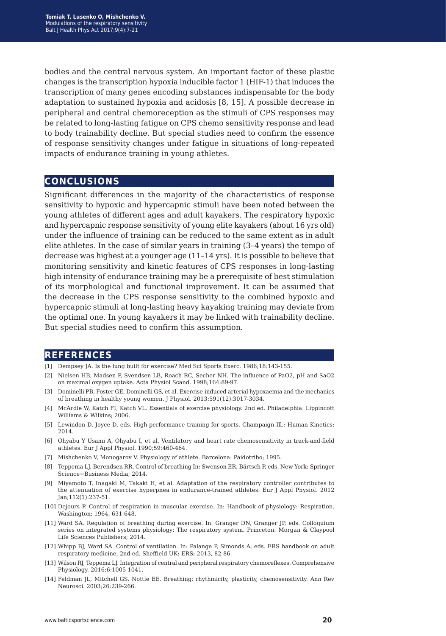bodies and the central nervous system. An important factor of these plastic changes is the transcription hypoxia inducible factor 1 (HIF-1) that induces the transcription of many genes encoding substances indispensable for the body adaptation to sustained hypoxia and acidosis [8, 15]. A possible decrease in peripheral and central chemoreception as the stimuli of CPS responses may be related to long-lasting fatigue on CPS chemo sensitivity response and lead to body trainability decline. But special studies need to confirm the essence of response sensitivity changes under fatigue in situations of long-repeated impacts of endurance training in young athletes.

## **conclusions**

Significant differences in the majority of the characteristics of response sensitivity to hypoxic and hypercapnic stimuli have been noted between the young athletes of different ages and adult kayakers. The respiratory hypoxic and hypercapnic response sensitivity of young elite kayakers (about 16 yrs old) under the influence of training can be reduced to the same extent as in adult elite athletes. In the case of similar years in training (3–4 years) the tempo of decrease was highest at a younger age (11–14 yrs). It is possible to believe that monitoring sensitivity and kinetic features of CPS responses in long-lasting high intensity of endurance training may be a prerequisite of best stimulation of its morphological and functional improvement. It can be assumed that the decrease in the CPS response sensitivity to the combined hypoxic and hypercapnic stimuli at long-lasting heavy kayaking training may deviate from the optimal one. In young kayakers it may be linked with trainability decline. But special studies need to confirm this assumption.

### **references**

- [1] Dempsey JA. Is the lung built for exercise? Med Sci Sports Exerc. 1986;18:143-155.
- [2] Nielsen HB, Madsen P, Svendsen LB, Roach RC, Secher NH. The influence of PaO2, pH and SaO2 on maximal oxygen uptake. Acta Physiol Scand. 1998;164:89-97.
- [3] Dominelli PB, Foster GE, Dominelli GS, et al. Exercise-induced arterial hypoxaemia and the mechanics of breathing in healthy young women. J Physiol. 2013;591(12):3017-3034.
- [4] McArdle W, Katch FI, Katch VL. Essentials of exercise physiology. 2nd ed. Philadelphia: Lippincott Williams & Wilkins; 2006.
- [5] Lewindon D, Joyce D, eds. High-performance training for sports. Champaign Ill.: Human Kinetics; 2014.
- [6] Ohyabu Y Usami A, Ohyabu I, et al. Ventilatory and heart rate chemosensitivity in track-and-field athletes. Eur J Appl Physiol. 1990;59:460-464.
- [7] Mishchenko V, Monogarov V. Physiology of athlete. Barcelona: Paidotribo; 1995.
- [8] Teppema LJ, Berendsen RR. Control of breathing In: Swenson ER, Bärtsch P, eds. New York: Springer Science+Business Media; 2014.
- [9] Miyamoto T, Inagaki M, Takaki H, et al. Adaptation of the respiratory controller contributes to the attenuation of exercise hyperpnea in endurance-trained athletes. Eur J Appl Physiol. 2012 Jan;112(1):237-51.
- [10] Dejours P. Control of respiration in muscular exercise. In: Handbook of physiology: Respiration. Washington; 1964, 631-648.
- [11] Ward SA. Regulation of breathing during exercise. In: Granger DN, Granger JP, eds. Colloquium series on integrated systems physiology: The respiratory system. Princeton: Morgan & Claypool Life Sciences Publishers; 2014.
- [12] Whipp BJ, Ward SA. Control of ventilation. In: Palange P, Simonds A, eds. ERS handbook on adult respiratory medicine, 2nd ed. Sheffield UK: ERS; 2013, 82-86.
- [13] Wilson RJ, Teppema LJ. Integration of central and peripheral respiratory chemoreflexes. Comprehensive Physiology. 2016;6:1005-1041.
- [14] Feldman JL, Mitchell GS, Nottle EE. Breathing: rhythmicity, plasticity, chemosensitivity. Ann Rev Neurosci. 2003;26:239-266.